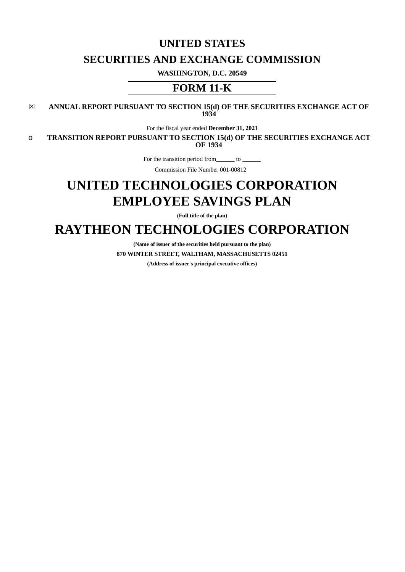## **UNITED STATES**

# **SECURITIES AND EXCHANGE COMMISSION**

**WASHINGTON, D.C. 20549**

# **FORM 11-K**

☒ **ANNUAL REPORT PURSUANT TO SECTION 15(d) OF THE SECURITIES EXCHANGE ACT OF 1934**

For the fiscal year ended **December 31, 2021**

o **TRANSITION REPORT PURSUANT TO SECTION 15(d) OF THE SECURITIES EXCHANGE ACT OF 1934**

For the transition period from\_\_\_\_\_\_\_ to \_

Commission File Number 001-00812

# **UNITED TECHNOLOGIES CORPORATION EMPLOYEE SAVINGS PLAN**

**(Full title of the plan)**

# **RAYTHEON TECHNOLOGIES CORPORATION**

**(Name of issuer of the securities held pursuant to the plan) 870 WINTER STREET, WALTHAM, MASSACHUSETTS 02451**

**(Address of issuer's principal executive offices)**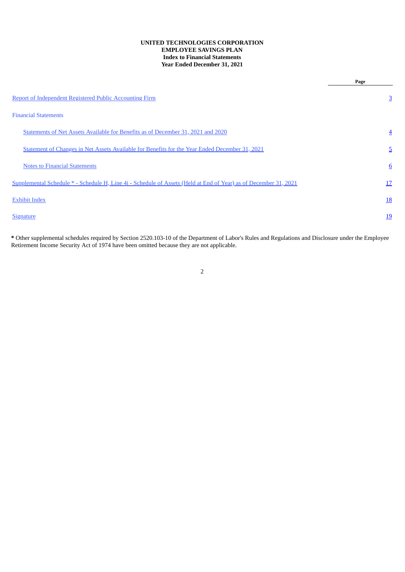#### **UNITED TECHNOLOGIES CORPORATION EMPLOYEE SAVINGS PLAN Index to Financial Statements Year Ended December 31, 2021**

|                                                                                                                  | Page            |
|------------------------------------------------------------------------------------------------------------------|-----------------|
| Report of Independent Registered Public Accounting Firm                                                          | <u>3</u>        |
| <b>Financial Statements</b>                                                                                      |                 |
| Statements of Net Assets Available for Benefits as of December 31, 2021 and 2020                                 | $\overline{4}$  |
| Statement of Changes in Net Assets Available for Benefits for the Year Ended December 31, 2021                   | $\overline{5}$  |
| <b>Notes to Financial Statements</b>                                                                             | $6\overline{6}$ |
| Supplemental Schedule * - Schedule H, Line 4i - Schedule of Assets (Held at End of Year) as of December 31, 2021 | 17              |
| <b>Exhibit Index</b>                                                                                             | <u>18</u>       |
| <b>Signature</b>                                                                                                 | <u>19</u>       |
|                                                                                                                  |                 |

<span id="page-1-0"></span>**\*** Other supplemental schedules required by Section 2520.103-10 of the Department of Labor's Rules and Regulations and Disclosure under the Employee Retirement Income Security Act of 1974 have been omitted because they are not applicable.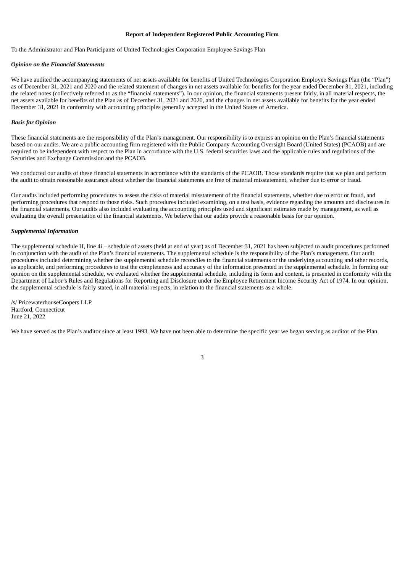#### **Report of Independent Registered Public Accounting Firm**

To the Administrator and Plan Participants of United Technologies Corporation Employee Savings Plan

#### *Opinion on the Financial Statements*

We have audited the accompanying statements of net assets available for benefits of United Technologies Corporation Employee Savings Plan (the "Plan") as of December 31, 2021 and 2020 and the related statement of changes in net assets available for benefits for the year ended December 31, 2021, including the related notes (collectively referred to as the "financial statements"). In our opinion, the financial statements present fairly, in all material respects, the net assets available for benefits of the Plan as of December 31, 2021 and 2020, and the changes in net assets available for benefits for the year ended December 31, 2021 in conformity with accounting principles generally accepted in the United States of America.

#### *Basis for Opinion*

These financial statements are the responsibility of the Plan's management. Our responsibility is to express an opinion on the Plan's financial statements based on our audits. We are a public accounting firm registered with the Public Company Accounting Oversight Board (United States) (PCAOB) and are required to be independent with respect to the Plan in accordance with the U.S. federal securities laws and the applicable rules and regulations of the Securities and Exchange Commission and the PCAOB.

We conducted our audits of these financial statements in accordance with the standards of the PCAOB. Those standards require that we plan and perform the audit to obtain reasonable assurance about whether the financial statements are free of material misstatement, whether due to error or fraud.

Our audits included performing procedures to assess the risks of material misstatement of the financial statements, whether due to error or fraud, and performing procedures that respond to those risks. Such procedures included examining, on a test basis, evidence regarding the amounts and disclosures in the financial statements. Our audits also included evaluating the accounting principles used and significant estimates made by management, as well as evaluating the overall presentation of the financial statements. We believe that our audits provide a reasonable basis for our opinion.

#### *Supplemental Information*

The supplemental schedule H, line 4i – schedule of assets (held at end of year) as of December 31, 2021 has been subjected to audit procedures performed in conjunction with the audit of the Plan's financial statements. The supplemental schedule is the responsibility of the Plan's management. Our audit procedures included determining whether the supplemental schedule reconciles to the financial statements or the underlying accounting and other records, as applicable, and performing procedures to test the completeness and accuracy of the information presented in the supplemental schedule. In forming our opinion on the supplemental schedule, we evaluated whether the supplemental schedule, including its form and content, is presented in conformity with the Department of Labor's Rules and Regulations for Reporting and Disclosure under the Employee Retirement Income Security Act of 1974. In our opinion, the supplemental schedule is fairly stated, in all material respects, in relation to the financial statements as a whole.

/s/ PricewaterhouseCoopers LLP Hartford, Connecticut June 21, 2022

<span id="page-2-0"></span>We have served as the Plan's auditor since at least 1993. We have not been able to determine the specific year we began serving as auditor of the Plan.

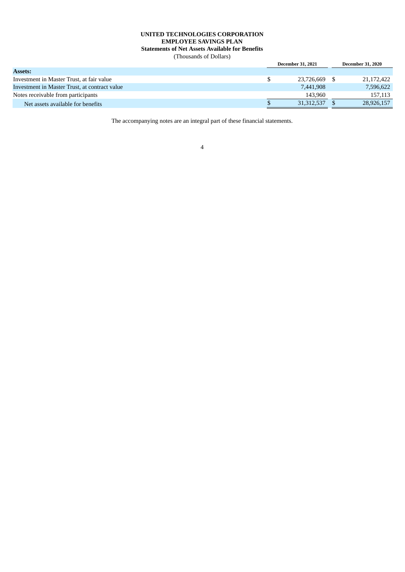#### **UNITED TECHNOLOGIES CORPORATION EMPLOYEE SAVINGS PLAN Statements of Net Assets Available for Benefits** (Thousands of Dollars)

<span id="page-3-0"></span>

|                                               | <b>December 31, 2021</b> | <b>December 31, 2020</b> |
|-----------------------------------------------|--------------------------|--------------------------|
| <b>Assets:</b>                                |                          |                          |
| Investment in Master Trust, at fair value     | 23,726,669               | 21,172,422               |
| Investment in Master Trust, at contract value | 7,441,908                | 7,596,622                |
| Notes receivable from participants            | 143.960                  | 157.113                  |
| Net assets available for benefits             | 31, 312, 537             | 28,926,157               |

The accompanying notes are an integral part of these financial statements.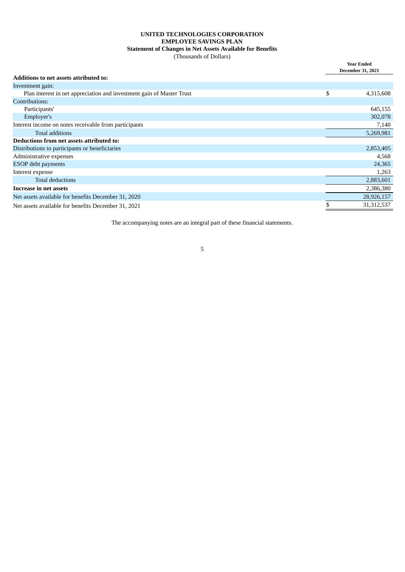## **UNITED TECHNOLOGIES CORPORATION EMPLOYEE SAVINGS PLAN Statement of Changes in Net Assets Available for Benefits**

(Thousands of Dollars)

|                                                                       | <b>Year Ended</b><br><b>December 31, 2021</b> |
|-----------------------------------------------------------------------|-----------------------------------------------|
| Additions to net assets attributed to:                                |                                               |
| Investment gain:                                                      |                                               |
| Plan interest in net appreciation and investment gain of Master Trust | \$<br>4,315,608                               |
| Contributions:                                                        |                                               |
| Participants'                                                         | 645,155                                       |
| Employer's                                                            | 302,078                                       |
| Interest income on notes receivable from participants                 | 7,140                                         |
| <b>Total additions</b>                                                | 5,269,981                                     |
| Deductions from net assets attributed to:                             |                                               |
| Distributions to participants or beneficiaries                        | 2,853,405                                     |
| Administrative expenses                                               | 4,568                                         |
| <b>ESOP</b> debt payments                                             | 24,365                                        |
| Interest expense                                                      | 1,263                                         |
| <b>Total deductions</b>                                               | 2,883,601                                     |
| Increase in net assets                                                | 2,386,380                                     |
| Net assets available for benefits December 31, 2020                   | 28,926,157                                    |
| Net assets available for benefits December 31, 2021                   | 31, 312, 537                                  |
|                                                                       |                                               |

<span id="page-4-0"></span>The accompanying notes are an integral part of these financial statements.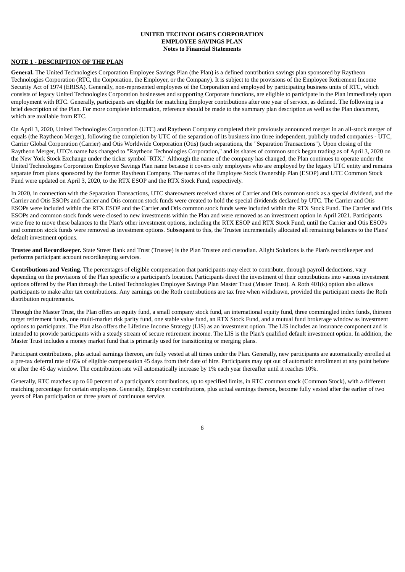#### **UNITED TECHNOLOGIES CORPORATION EMPLOYEE SAVINGS PLAN Notes to Financial Statements**

#### **NOTE 1 - DESCRIPTION OF THE PLAN**

**General.** The United Technologies Corporation Employee Savings Plan (the Plan) is a defined contribution savings plan sponsored by Raytheon Technologies Corporation (RTC, the Corporation, the Employer, or the Company). It is subject to the provisions of the Employee Retirement Income Security Act of 1974 (ERISA). Generally, non-represented employees of the Corporation and employed by participating business units of RTC, which consists of legacy United Technologies Corporation businesses and supporting Corporate functions, are eligible to participate in the Plan immediately upon employment with RTC. Generally, participants are eligible for matching Employer contributions after one year of service, as defined. The following is a brief description of the Plan. For more complete information, reference should be made to the summary plan description as well as the Plan document, which are available from RTC.

On April 3, 2020, United Technologies Corporation (UTC) and Raytheon Company completed their previously announced merger in an all-stock merger of equals (the Raytheon Merger), following the completion by UTC of the separation of its business into three independent, publicly traded companies - UTC, Carrier Global Corporation (Carrier) and Otis Worldwide Corporation (Otis) (such separations, the "Separation Transactions"). Upon closing of the Raytheon Merger, UTC's name has changed to "Raytheon Technologies Corporation," and its shares of common stock began trading as of April 3, 2020 on the New York Stock Exchange under the ticker symbol "RTX." Although the name of the company has changed, the Plan continues to operate under the United Technologies Corporation Employee Savings Plan name because it covers only employees who are employed by the legacy UTC entity and remains separate from plans sponsored by the former Raytheon Company. The names of the Employee Stock Ownership Plan (ESOP) and UTC Common Stock Fund were updated on April 3, 2020, to the RTX ESOP and the RTX Stock Fund, respectively.

In 2020, in connection with the Separation Transactions, UTC shareowners received shares of Carrier and Otis common stock as a special dividend, and the Carrier and Otis ESOPs and Carrier and Otis common stock funds were created to hold the special dividends declared by UTC. The Carrier and Otis ESOPs were included within the RTX ESOP and the Carrier and Otis common stock funds were included within the RTX Stock Fund. The Carrier and Otis ESOPs and common stock funds were closed to new investments within the Plan and were removed as an investment option in April 2021. Participants were free to move these balances to the Plan's other investment options, including the RTX ESOP and RTX Stock Fund, until the Carrier and Otis ESOPs and common stock funds were removed as investment options. Subsequent to this, the Trustee incrementally allocated all remaining balances to the Plans' default investment options.

**Trustee and Recordkeeper.** State Street Bank and Trust (Trustee) is the Plan Trustee and custodian. Alight Solutions is the Plan's recordkeeper and performs participant account recordkeeping services.

**Contributions and Vesting.** The percentages of eligible compensation that participants may elect to contribute, through payroll deductions, vary depending on the provisions of the Plan specific to a participant's location. Participants direct the investment of their contributions into various investment options offered by the Plan through the United Technologies Employee Savings Plan Master Trust (Master Trust). A Roth 401(k) option also allows participants to make after tax contributions. Any earnings on the Roth contributions are tax free when withdrawn, provided the participant meets the Roth distribution requirements.

Through the Master Trust, the Plan offers an equity fund, a small company stock fund, an international equity fund, three commingled index funds, thirteen target retirement funds, one multi-market risk parity fund, one stable value fund, an RTX Stock Fund, and a mutual fund brokerage window as investment options to participants. The Plan also offers the Lifetime Income Strategy (LIS) as an investment option. The LIS includes an insurance component and is intended to provide participants with a steady stream of secure retirement income. The LIS is the Plan's qualified default investment option. In addition, the Master Trust includes a money market fund that is primarily used for transitioning or merging plans.

Participant contributions, plus actual earnings thereon, are fully vested at all times under the Plan. Generally, new participants are automatically enrolled at a pre-tax deferral rate of 6% of eligible compensation 45 days from their date of hire. Participants may opt out of automatic enrollment at any point before or after the 45 day window. The contribution rate will automatically increase by 1% each year thereafter until it reaches 10%.

Generally, RTC matches up to 60 percent of a participant's contributions, up to specified limits, in RTC common stock (Common Stock), with a different matching percentage for certain employees. Generally, Employer contributions, plus actual earnings thereon, become fully vested after the earlier of two years of Plan participation or three years of continuous service.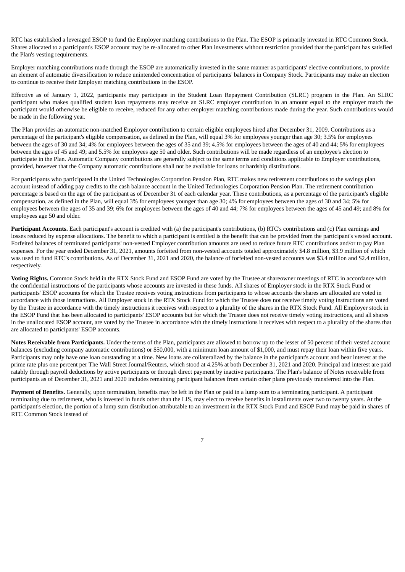RTC has established a leveraged ESOP to fund the Employer matching contributions to the Plan. The ESOP is primarily invested in RTC Common Stock. Shares allocated to a participant's ESOP account may be re-allocated to other Plan investments without restriction provided that the participant has satisfied the Plan's vesting requirements.

Employer matching contributions made through the ESOP are automatically invested in the same manner as participants' elective contributions, to provide an element of automatic diversification to reduce unintended concentration of participants' balances in Company Stock. Participants may make an election to continue to receive their Employer matching contributions in the ESOP.

Effective as of January 1, 2022, participants may participate in the Student Loan Repayment Contribution (SLRC) program in the Plan. An SLRC participant who makes qualified student loan repayments may receive an SLRC employer contribution in an amount equal to the employer match the participant would otherwise be eligible to receive, reduced for any other employer matching contributions made during the year. Such contributions would be made in the following year.

The Plan provides an automatic non-matched Employer contribution to certain eligible employees hired after December 31, 2009. Contributions as a percentage of the participant's eligible compensation, as defined in the Plan, will equal 3% for employees younger than age 30; 3.5% for employees between the ages of 30 and 34; 4% for employees between the ages of 35 and 39; 4.5% for employees between the ages of 40 and 44; 5% for employees between the ages of 45 and 49; and 5.5% for employees age 50 and older. Such contributions will be made regardless of an employee's election to participate in the Plan. Automatic Company contributions are generally subject to the same terms and conditions applicable to Employer contributions, provided, however that the Company automatic contributions shall not be available for loans or hardship distributions.

For participants who participated in the United Technologies Corporation Pension Plan, RTC makes new retirement contributions to the savings plan account instead of adding pay credits to the cash balance account in the United Technologies Corporation Pension Plan. The retirement contribution percentage is based on the age of the participant as of December 31 of each calendar year. These contributions, as a percentage of the participant's eligible compensation, as defined in the Plan, will equal 3% for employees younger than age 30; 4% for employees between the ages of 30 and 34; 5% for employees between the ages of 35 and 39; 6% for employees between the ages of 40 and 44; 7% for employees between the ages of 45 and 49; and 8% for employees age 50 and older.

**Participant Accounts.** Each participant's account is credited with (a) the participant's contributions, (b) RTC's contributions and (c) Plan earnings and losses reduced by expense allocations. The benefit to which a participant is entitled is the benefit that can be provided from the participant's vested account. Forfeited balances of terminated participants' non-vested Employer contribution amounts are used to reduce future RTC contributions and/or to pay Plan expenses. For the year ended December 31, 2021, amounts forfeited from non-vested accounts totaled approximately \$4.8 million, \$3.9 million of which was used to fund RTC's contributions. As of December 31, 2021 and 2020, the balance of forfeited non-vested accounts was \$3.4 million and \$2.4 million, respectively.

**Voting Rights.** Common Stock held in the RTX Stock Fund and ESOP Fund are voted by the Trustee at shareowner meetings of RTC in accordance with the confidential instructions of the participants whose accounts are invested in these funds. All shares of Employer stock in the RTX Stock Fund or participants' ESOP accounts for which the Trustee receives voting instructions from participants to whose accounts the shares are allocated are voted in accordance with those instructions. All Employer stock in the RTX Stock Fund for which the Trustee does not receive timely voting instructions are voted by the Trustee in accordance with the timely instructions it receives with respect to a plurality of the shares in the RTX Stock Fund. All Employer stock in the ESOP Fund that has been allocated to participants' ESOP accounts but for which the Trustee does not receive timely voting instructions, and all shares in the unallocated ESOP account, are voted by the Trustee in accordance with the timely instructions it receives with respect to a plurality of the shares that are allocated to participants' ESOP accounts.

**Notes Receivable from Participants.** Under the terms of the Plan, participants are allowed to borrow up to the lesser of 50 percent of their vested account balances (excluding company automatic contributions) or \$50,000, with a minimum loan amount of \$1,000, and must repay their loan within five years. Participants may only have one loan outstanding at a time. New loans are collateralized by the balance in the participant's account and bear interest at the prime rate plus one percent per The Wall Street Journal/Reuters, which stood at 4.25% at both December 31, 2021 and 2020. Principal and interest are paid ratably through payroll deductions by active participants or through direct payment by inactive participants. The Plan's balance of Notes receivable from participants as of December 31, 2021 and 2020 includes remaining participant balances from certain other plans previously transferred into the Plan.

**Payment of Benefits.** Generally, upon termination, benefits may be left in the Plan or paid in a lump sum to a terminating participant. A participant terminating due to retirement, who is invested in funds other than the LIS, may elect to receive benefits in installments over two to twenty years. At the participant's election, the portion of a lump sum distribution attributable to an investment in the RTX Stock Fund and ESOP Fund may be paid in shares of RTC Common Stock instead of

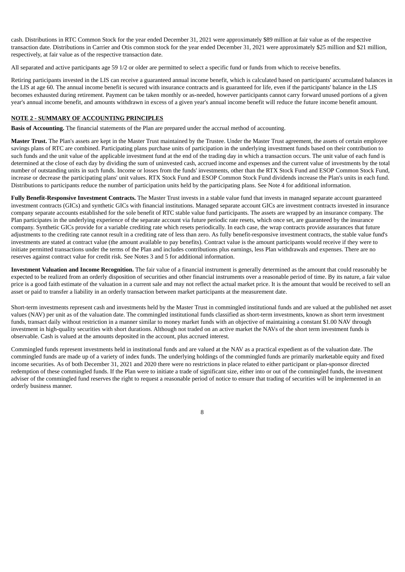cash. Distributions in RTC Common Stock for the year ended December 31, 2021 were approximately \$89 million at fair value as of the respective transaction date. Distributions in Carrier and Otis common stock for the year ended December 31, 2021 were approximately \$25 million and \$21 million, respectively, at fair value as of the respective transaction date.

All separated and active participants age 59 1/2 or older are permitted to select a specific fund or funds from which to receive benefits.

Retiring participants invested in the LIS can receive a guaranteed annual income benefit, which is calculated based on participants' accumulated balances in the LIS at age 60. The annual income benefit is secured with insurance contracts and is guaranteed for life, even if the participants' balance in the LIS becomes exhausted during retirement. Payment can be taken monthly or as-needed, however participants cannot carry forward unused portions of a given year's annual income benefit, and amounts withdrawn in excess of a given year's annual income benefit will reduce the future income benefit amount.

#### **NOTE 2 - SUMMARY OF ACCOUNTING PRINCIPLES**

**Basis of Accounting.** The financial statements of the Plan are prepared under the accrual method of accounting.

**Master Trust.** The Plan's assets are kept in the Master Trust maintained by the Trustee. Under the Master Trust agreement, the assets of certain employee savings plans of RTC are combined. Participating plans purchase units of participation in the underlying investment funds based on their contribution to such funds and the unit value of the applicable investment fund at the end of the trading day in which a transaction occurs. The unit value of each fund is determined at the close of each day by dividing the sum of uninvested cash, accrued income and expenses and the current value of investments by the total number of outstanding units in such funds. Income or losses from the funds' investments, other than the RTX Stock Fund and ESOP Common Stock Fund, increase or decrease the participating plans' unit values. RTX Stock Fund and ESOP Common Stock Fund dividends increase the Plan's units in each fund. Distributions to participants reduce the number of participation units held by the participating plans. See Note 4 for additional information.

**Fully Benefit-Responsive Investment Contracts.** The Master Trust invests in a stable value fund that invests in managed separate account guaranteed investment contracts (GICs) and synthetic GICs with financial institutions. Managed separate account GICs are investment contracts invested in insurance company separate accounts established for the sole benefit of RTC stable value fund participants. The assets are wrapped by an insurance company. The Plan participates in the underlying experience of the separate account via future periodic rate resets, which once set, are guaranteed by the insurance company. Synthetic GICs provide for a variable crediting rate which resets periodically. In each case, the wrap contracts provide assurances that future adjustments to the crediting rate cannot result in a crediting rate of less than zero. As fully benefit-responsive investment contracts, the stable value fund's investments are stated at contract value (the amount available to pay benefits). Contract value is the amount participants would receive if they were to initiate permitted transactions under the terms of the Plan and includes contributions plus earnings, less Plan withdrawals and expenses. There are no reserves against contract value for credit risk. See Notes 3 and 5 for additional information.

**Investment Valuation and Income Recognition.** The fair value of a financial instrument is generally determined as the amount that could reasonably be expected to be realized from an orderly disposition of securities and other financial instruments over a reasonable period of time. By its nature, a fair value price is a good faith estimate of the valuation in a current sale and may not reflect the actual market price. It is the amount that would be received to sell an asset or paid to transfer a liability in an orderly transaction between market participants at the measurement date.

Short-term investments represent cash and investments held by the Master Trust in commingled institutional funds and are valued at the published net asset values (NAV) per unit as of the valuation date. The commingled institutional funds classified as short-term investments, known as short term investment funds, transact daily without restriction in a manner similar to money market funds with an objective of maintaining a constant \$1.00 NAV through investment in high-quality securities with short durations. Although not traded on an active market the NAVs of the short term investment funds is observable. Cash is valued at the amounts deposited in the account, plus accrued interest.

Commingled funds represent investments held in institutional funds and are valued at the NAV as a practical expedient as of the valuation date. The commingled funds are made up of a variety of index funds. The underlying holdings of the commingled funds are primarily marketable equity and fixed income securities. As of both December 31, 2021 and 2020 there were no restrictions in place related to either participant or plan-sponsor directed redemption of these commingled funds. If the Plan were to initiate a trade of significant size, either into or out of the commingled funds, the investment adviser of the commingled fund reserves the right to request a reasonable period of notice to ensure that trading of securities will be implemented in an orderly business manner.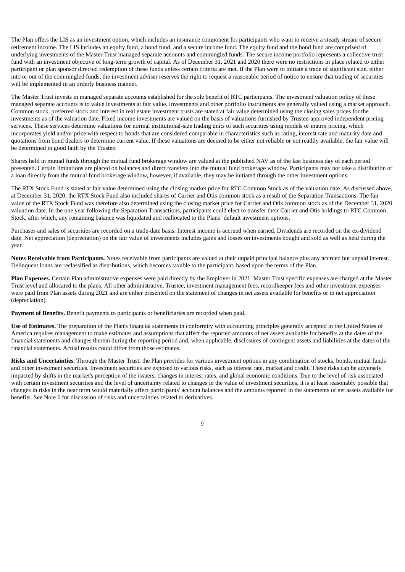The Plan offers the LIS as an investment option, which includes an insurance component for participants who want to receive a steady stream of secure retirement income. The LIS includes an equity fund, a bond fund, and a secure income fund. The equity fund and the bond fund are comprised of underlying investments of the Master Trust managed separate accounts and commingled funds. The secure income portfolio represents a collective trust fund with an investment objective of long-term growth of capital. As of December 31, 2021 and 2020 there were no restrictions in place related to either participant or plan sponsor directed redemption of these funds unless certain criteria are met. If the Plan were to initiate a trade of significant size, either into or out of the commingled funds, the investment adviser reserves the right to request a reasonable period of notice to ensure that trading of securities will be implemented in an orderly business manner.

The Master Trust invests in managed separate accounts established for the sole benefit of RTC participants. The investment valuation policy of these managed separate accounts is to value investments at fair value. Investments and other portfolio instruments are generally valued using a market approach. Common stock, preferred stock and interest in real estate investment trusts are stated at fair value determined using the closing sales prices for the investments as of the valuation date. Fixed income investments are valued on the basis of valuations furnished by Trustee-approved independent pricing services. These services determine valuations for normal institutional-size trading units of such securities using models or matrix pricing, which incorporates yield and/or price with respect to bonds that are considered comparable in characteristics such as rating, interest rate and maturity date and quotations from bond dealers to determine current value. If these valuations are deemed to be either not reliable or not readily available, the fair value will be determined in good faith by the Trustee.

Shares held in mutual funds through the mutual fund brokerage window are valued at the published NAV as of the last business day of each period presented. Certain limitations are placed on balances and direct transfers into the mutual fund brokerage window. Participants may not take a distribution or a loan directly from the mutual fund brokerage window, however, if available, they may be initiated through the other investment options.

The RTX Stock Fund is stated at fair value determined using the closing market price for RTC Common Stock as of the valuation date. As discussed above, at December 31, 2020, the RTX Stock Fund also included shares of Carrier and Otis common stock as a result of the Separation Transactions. The fair value of the RTX Stock Fund was therefore also determined using the closing market price for Carrier and Otis common stock as of the December 31, 2020 valuation date. In the one year following the Separation Transactions, participants could elect to transfer their Carrier and Otis holdings to RTC Common Stock, after which, any remaining balance was liquidated and reallocated to the Plans' default investment options.

Purchases and sales of securities are recorded on a trade-date basis. Interest income is accrued when earned. Dividends are recorded on the ex-dividend date. Net appreciation (depreciation) on the fair value of investments includes gains and losses on investments bought and sold as well as held during the year.

**Notes Receivable from Participants.** Notes receivable from participants are valued at their unpaid principal balance plus any accrued but unpaid interest. Delinquent loans are reclassified as distributions, which becomes taxable to the participant, based upon the terms of the Plan.

**Plan Expenses.** Certain Plan administrative expenses were paid directly by the Employer in 2021. Master Trust specific expenses are charged at the Master Trust level and allocated to the plans. All other administrative, Trustee, investment management fees, recordkeeper fees and other investment expenses were paid from Plan assets during 2021 and are either presented on the statement of changes in net assets available for benefits or in net appreciation (depreciation).

**Payment of Benefits.** Benefit payments to participants or beneficiaries are recorded when paid.

**Use of Estimates.** The preparation of the Plan's financial statements in conformity with accounting principles generally accepted in the United States of America requires management to make estimates and assumptions that affect the reported amounts of net assets available for benefits at the dates of the financial statements and changes therein during the reporting period and, when applicable, disclosures of contingent assets and liabilities at the dates of the financial statements. Actual results could differ from those estimates.

**Risks and Uncertainties.** Through the Master Trust, the Plan provides for various investment options in any combination of stocks, bonds, mutual funds and other investment securities. Investment securities are exposed to various risks, such as interest rate, market and credit. These risks can be adversely impacted by shifts in the market's perception of the issuers, changes in interest rates, and global economic conditions. Due to the level of risk associated with certain investment securities and the level of uncertainty related to changes in the value of investment securities, it is at least reasonably possible that changes in risks in the near term would materially affect participants' account balances and the amounts reported in the statements of net assets available for benefits. See Note 6 for discussion of risks and uncertainties related to derivatives.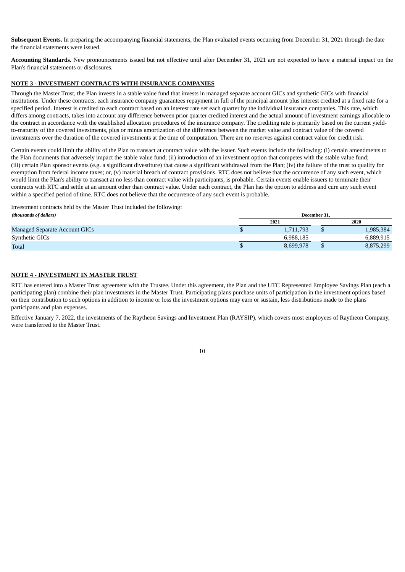**Subsequent Events.** In preparing the accompanying financial statements, the Plan evaluated events occurring from December 31, 2021 through the date the financial statements were issued.

**Accounting Standards.** New pronouncements issued but not effective until after December 31, 2021 are not expected to have a material impact on the Plan's financial statements or disclosures.

#### **NOTE 3 - INVESTMENT CONTRACTS WITH INSURANCE COMPANIES**

Through the Master Trust, the Plan invests in a stable value fund that invests in managed separate account GICs and synthetic GICs with financial institutions. Under these contracts, each insurance company guarantees repayment in full of the principal amount plus interest credited at a fixed rate for a specified period. Interest is credited to each contract based on an interest rate set each quarter by the individual insurance companies. This rate, which differs among contracts, takes into account any difference between prior quarter credited interest and the actual amount of investment earnings allocable to the contract in accordance with the established allocation procedures of the insurance company. The crediting rate is primarily based on the current yieldto-maturity of the covered investments, plus or minus amortization of the difference between the market value and contract value of the covered investments over the duration of the covered investments at the time of computation. There are no reserves against contract value for credit risk.

Certain events could limit the ability of the Plan to transact at contract value with the issuer. Such events include the following: (i) certain amendments to the Plan documents that adversely impact the stable value fund; (ii) introduction of an investment option that competes with the stable value fund; (iii) certain Plan sponsor events (e.g. a significant divestiture) that cause a significant withdrawal from the Plan; (iv) the failure of the trust to qualify for exemption from federal income taxes; or, (v) material breach of contract provisions. RTC does not believe that the occurrence of any such event, which would limit the Plan's ability to transact at no less than contract value with participants, is probable. Certain events enable issuers to terminate their contracts with RTC and settle at an amount other than contract value. Under each contract, the Plan has the option to address and cure any such event within a specified period of time. RTC does not believe that the occurrence of any such event is probable.

Investment contracts held by the Master Trust included the following:

| (thousands of dollars)        | December 31. |           |  |           |  |  |  |
|-------------------------------|--------------|-----------|--|-----------|--|--|--|
|                               | 2021         |           |  | 2020      |  |  |  |
| Managed Separate Account GICs |              | 1,711,793 |  | 1,985,384 |  |  |  |
| <b>Synthetic GICs</b>         |              | 6,988,185 |  | 6,889,915 |  |  |  |
| Total                         |              | 8,699,978 |  | 8,875,299 |  |  |  |

#### **NOTE 4 - INVESTMENT IN MASTER TRUST**

RTC has entered into a Master Trust agreement with the Trustee. Under this agreement, the Plan and the UTC Represented Employee Savings Plan (each a participating plan) combine their plan investments in the Master Trust. Participating plans purchase units of participation in the investment options based on their contribution to such options in addition to income or loss the investment options may earn or sustain, less distributions made to the plans' participants and plan expenses.

Effective January 7, 2022, the investments of the Raytheon Savings and Investment Plan (RAYSIP), which covers most employees of Raytheon Company, were transferred to the Master Trust.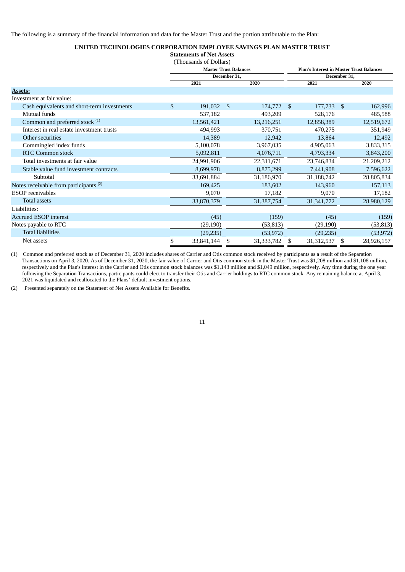The following is a summary of the financial information and data for the Master Trust and the portion attributable to the Plan:

#### **UNITED TECHNOLOGIES CORPORATION EMPLOYEE SAVINGS PLAN MASTER TRUST**

**Statements of Net Assets**

|                                                   | (Thousands of Dollars)       |              |              |   |                                                 |   |            |  |  |
|---------------------------------------------------|------------------------------|--------------|--------------|---|-------------------------------------------------|---|------------|--|--|
|                                                   | <b>Master Trust Balances</b> |              |              |   | <b>Plan's Interest in Master Trust Balances</b> |   |            |  |  |
|                                                   |                              | December 31, |              |   | December 31,                                    |   |            |  |  |
|                                                   | 2021                         |              | 2020         |   | 2021                                            |   | 2020       |  |  |
| <b>Assets:</b>                                    |                              |              |              |   |                                                 |   |            |  |  |
| Investment at fair value:                         |                              |              |              |   |                                                 |   |            |  |  |
| Cash equivalents and short-term investments       | \$<br>191,032                | - \$         | 174,772 \$   |   | 177,733 \$                                      |   | 162,996    |  |  |
| Mutual funds                                      | 537,182                      |              | 493,209      |   | 528,176                                         |   | 485,588    |  |  |
| Common and preferred stock <sup>(1)</sup>         | 13,561,421                   |              | 13,216,251   |   | 12,858,389                                      |   | 12,519,672 |  |  |
| Interest in real estate investment trusts         | 494,993                      |              | 370,751      |   | 470,275                                         |   | 351,949    |  |  |
| Other securities                                  | 14,389                       |              | 12,942       |   | 13,864                                          |   | 12,492     |  |  |
| Commingled index funds                            | 5,100,078                    |              | 3,967,035    |   | 4,905,063                                       |   | 3,833,315  |  |  |
| <b>RTC Common stock</b>                           | 5,092,811                    |              | 4,076,711    |   | 4,793,334                                       |   | 3,843,200  |  |  |
| Total investments at fair value                   | 24,991,906                   |              | 22,311,671   |   | 23,746,834                                      |   | 21,209,212 |  |  |
| Stable value fund investment contracts            | 8,699,978                    |              | 8,875,299    |   | 7,441,908                                       |   | 7,596,622  |  |  |
| Subtotal                                          | 33,691,884                   |              | 31,186,970   |   | 31,188,742                                      |   | 28,805,834 |  |  |
| Notes receivable from participants <sup>(2)</sup> | 169,425                      |              | 183,602      |   | 143,960                                         |   | 157,113    |  |  |
| <b>ESOP</b> receivables                           | 9,070                        |              | 17,182       |   | 9,070                                           |   | 17,182     |  |  |
| <b>Total assets</b>                               | 33,870,379                   |              | 31,387,754   |   | 31, 341, 772                                    |   | 28,980,129 |  |  |
| Liabilities:                                      |                              |              |              |   |                                                 |   |            |  |  |
| <b>Accrued ESOP interest</b>                      | (45)                         |              | (159)        |   | (45)                                            |   | (159)      |  |  |
| Notes payable to RTC                              | (29, 190)                    |              | (53, 813)    |   | (29, 190)                                       |   | (53, 813)  |  |  |
| <b>Total liabilities</b>                          | (29, 235)                    |              | (53, 972)    |   | (29, 235)                                       |   | (53, 972)  |  |  |
| Net assets                                        | \$<br>33,841,144             | -S           | 31, 333, 782 | S | 31,312,537                                      | S | 28,926,157 |  |  |

(1) Common and preferred stock as of December 31, 2020 includes shares of Carrier and Otis common stock received by participants as a result of the Separation Transactions on April 3, 2020. As of December 31, 2020, the fair value of Carrier and Otis common stock in the Master Trust was \$1,208 million and \$1,108 million, respectively and the Plan's interest in the Carrier and Otis common stock balances was \$1,143 million and \$1,049 million, respectively. Any time during the one year following the Separation Transactions, participants could elect to transfer their Otis and Carrier holdings to RTC common stock. Any remaining balance at April 3, 2021 was liquidated and reallocated to the Plans' default investment options.

(2) Presented separately on the Statement of Net Assets Available for Benefits.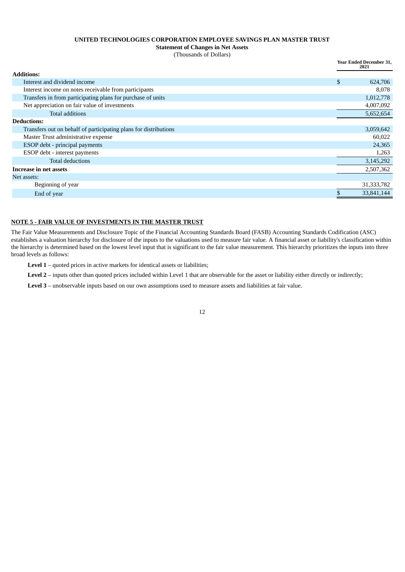#### **UNITED TECHNOLOGIES CORPORATION EMPLOYEE SAVINGS PLAN MASTER TRUST**

**Statement of Changes in Net Assets**

(Thousands of Dollars)

|                                                                  | <b>Year Ended December 31,</b><br>2021 |
|------------------------------------------------------------------|----------------------------------------|
| <b>Additions:</b>                                                |                                        |
| Interest and dividend income                                     | \$<br>624,706                          |
| Interest income on notes receivable from participants            | 8,078                                  |
| Transfers in from participating plans for purchase of units      | 1,012,778                              |
| Net appreciation on fair value of investments                    | 4,007,092                              |
| <b>Total additions</b>                                           | 5,652,654                              |
| <b>Deductions:</b>                                               |                                        |
| Transfers out on behalf of participating plans for distributions | 3,059,642                              |
| Master Trust administrative expense                              | 60,022                                 |
| ESOP debt - principal payments                                   | 24,365                                 |
| ESOP debt - interest payments                                    | 1,263                                  |
| <b>Total deductions</b>                                          | 3,145,292                              |
| Increase in net assets                                           | 2,507,362                              |
| Net assets:                                                      |                                        |
| Beginning of year                                                | 31, 333, 782                           |
| End of year                                                      | 33.841.144                             |

#### **NOTE 5 - FAIR VALUE OF INVESTMENTS IN THE MASTER TRUST**

The Fair Value Measurements and Disclosure Topic of the Financial Accounting Standards Board (FASB) Accounting Standards Codification (ASC) establishes a valuation hierarchy for disclosure of the inputs to the valuations used to measure fair value. A financial asset or liability's classification within the hierarchy is determined based on the lowest level input that is significant to the fair value measurement. This hierarchy prioritizes the inputs into three broad levels as follows:

**Level 1** – quoted prices in active markets for identical assets or liabilities;

Level 2 – inputs other than quoted prices included within Level 1 that are observable for the asset or liability either directly or indirectly;

**Level 3** – unobservable inputs based on our own assumptions used to measure assets and liabilities at fair value.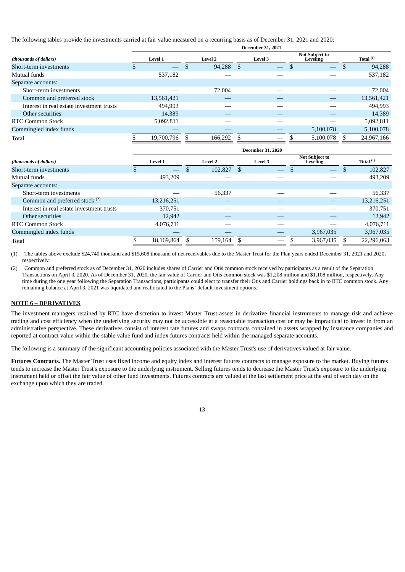The following tables provide the investments carried at fair value measured on a recurring basis as of December 31, 2021 and 2020:

|                                           | <b>December 31, 2021</b> |   |                |  |                          |  |                                   |  |             |  |
|-------------------------------------------|--------------------------|---|----------------|--|--------------------------|--|-----------------------------------|--|-------------|--|
| (thousands of dollars)                    | <b>Level 1</b>           |   | <b>Level 2</b> |  | <b>Level 3</b>           |  | <b>Not Subject to</b><br>Leveling |  | Total $(1)$ |  |
| Short-term investments                    |                          | S | 94,288 \$      |  | $\overline{\phantom{m}}$ |  | $\overline{\phantom{0}}$          |  | 94,288      |  |
| Mutual funds                              | 537,182                  |   |                |  |                          |  |                                   |  | 537,182     |  |
| Separate accounts:                        |                          |   |                |  |                          |  |                                   |  |             |  |
| Short-term investments                    |                          |   | 72,004         |  |                          |  |                                   |  | 72,004      |  |
| Common and preferred stock                | 13,561,421               |   |                |  |                          |  |                                   |  | 13,561,421  |  |
| Interest in real estate investment trusts | 494,993                  |   |                |  |                          |  |                                   |  | 494,993     |  |
| Other securities                          | 14,389                   |   | __             |  |                          |  |                                   |  | 14,389      |  |
| <b>RTC Common Stock</b>                   | 5,092,811                |   |                |  |                          |  |                                   |  | 5,092,811   |  |
| Commingled index funds                    |                          |   |                |  |                          |  | 5,100,078                         |  | 5,100,078   |  |
| Total                                     | 19,700,796               |   | 166,292        |  |                          |  | 5,100,078                         |  | 24,967,166  |  |

|                                           |    |                          |    |         |    | <b>December 31, 2020</b> |                                          |             |
|-------------------------------------------|----|--------------------------|----|---------|----|--------------------------|------------------------------------------|-------------|
| (thousands of dollars)                    |    | <b>Level 1</b>           |    | Level 2 |    | <b>Level 3</b>           | <b>Not Subject to</b><br><b>Leveling</b> | Total $(1)$ |
| Short-term investments                    | y. | $\overline{\phantom{0}}$ | -S | 102,827 | £. | $\overline{\phantom{m}}$ |                                          | 102,827     |
| Mutual funds                              |    | 493,209                  |    |         |    |                          |                                          | 493,209     |
| Separate accounts:                        |    |                          |    |         |    |                          |                                          |             |
| Short-term investments                    |    |                          |    | 56,337  |    |                          |                                          | 56,337      |
| Common and preferred stock <sup>(2)</sup> |    | 13,216,251               |    |         |    |                          |                                          | 13,216,251  |
| Interest in real estate investment trusts |    | 370,751                  |    |         |    |                          |                                          | 370,751     |
| Other securities                          |    | 12.942                   |    |         |    |                          |                                          | 12,942      |
| <b>RTC Common Stock</b>                   |    | 4,076,711                |    |         |    |                          |                                          | 4,076,711   |
| Commingled index funds                    |    |                          |    |         |    |                          | 3,967,035                                | 3,967,035   |
| Total                                     |    | 18,169,864               |    | 159,164 |    |                          | 3,967,035                                | 22,296,063  |
|                                           |    |                          |    |         |    |                          |                                          |             |

(1) The tables above exclude \$24,740 thousand and \$15,608 thousand of net receivables due to the Master Trust for the Plan years ended December 31, 2021 and 2020, respectively.

(2) Common and preferred stock as of December 31, 2020 includes shares of Carrier and Otis common stock received by participants as a result of the Separation Transactions on April 3, 2020. As of December 31, 2020, the fair value of Carrier and Otis common stock was \$1,208 million and \$1,108 million, respectively. Any time during the one year following the Separation Transactions, participants could elect to transfer their Otis and Carrier holdings back in to RTC common stock. Any remaining balance at April 3, 2021 was liquidated and reallocated to the Plans' default investment options.

#### **NOTE 6 – DERIVATIVES**

The investment managers retained by RTC have discretion to invest Master Trust assets in derivative financial instruments to manage risk and achieve trading and cost efficiency when the underlying security may not be accessible at a reasonable transaction cost or may be impractical to invest in from an administrative perspective. These derivatives consist of interest rate futures and swaps contracts contained in assets wrapped by insurance companies and reported at contract value within the stable value fund and index futures contracts held within the managed separate accounts.

The following is a summary of the significant accounting policies associated with the Master Trust's use of derivatives valued at fair value.

**Futures Contracts.** The Master Trust uses fixed income and equity index and interest futures contracts to manage exposure to the market. Buying futures tends to increase the Master Trust's exposure to the underlying instrument. Selling futures tends to decrease the Master Trust's exposure to the underlying instrument held or offset the fair value of other fund investments. Futures contracts are valued at the last settlement price at the end of each day on the exchange upon which they are traded.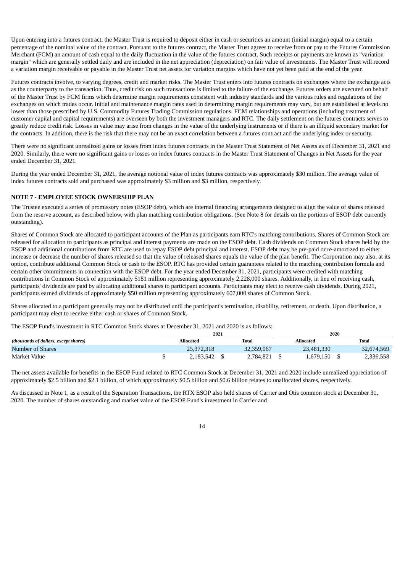Upon entering into a futures contract, the Master Trust is required to deposit either in cash or securities an amount (initial margin) equal to a certain percentage of the nominal value of the contract. Pursuant to the futures contract, the Master Trust agrees to receive from or pay to the Futures Commission Merchant (FCM) an amount of cash equal to the daily fluctuation in the value of the futures contract. Such receipts or payments are known as "variation margin" which are generally settled daily and are included in the net appreciation (depreciation) on fair value of investments. The Master Trust will record a variation margin receivable or payable in the Master Trust net assets for variation margins which have not yet been paid at the end of the year.

Futures contracts involve, to varying degrees, credit and market risks. The Master Trust enters into futures contracts on exchanges where the exchange acts as the counterparty to the transaction. Thus, credit risk on such transactions is limited to the failure of the exchange. Futures orders are executed on behalf of the Master Trust by FCM firms which determine margin requirements consistent with industry standards and the various rules and regulations of the exchanges on which trades occur. Initial and maintenance margin rates used in determining margin requirements may vary, but are established at levels no lower than those prescribed by U.S. Commodity Futures Trading Commission regulations. FCM relationships and operations (including treatment of customer capital and capital requirements) are overseen by both the investment managers and RTC. The daily settlement on the futures contracts serves to greatly reduce credit risk. Losses in value may arise from changes in the value of the underlying instruments or if there is an illiquid secondary market for the contracts. In addition, there is the risk that there may not be an exact correlation between a futures contract and the underlying index or security.

There were no significant unrealized gains or losses from index futures contracts in the Master Trust Statement of Net Assets as of December 31, 2021 and 2020. Similarly, there were no significant gains or losses on index futures contracts in the Master Trust Statement of Changes in Net Assets for the year ended December 31, 2021.

During the year ended December 31, 2021, the average notional value of index futures contracts was approximately \$30 million. The average value of index futures contracts sold and purchased was approximately \$3 million and \$3 million, respectively.

#### **NOTE 7 - EMPLOYEE STOCK OWNERSHIP PLAN**

The Trustee executed a series of promissory notes (ESOP debt), which are internal financing arrangements designed to align the value of shares released from the reserve account, as described below, with plan matching contribution obligations. (See Note 8 for details on the portions of ESOP debt currently outstanding).

Shares of Common Stock are allocated to participant accounts of the Plan as participants earn RTC's matching contributions. Shares of Common Stock are released for allocation to participants as principal and interest payments are made on the ESOP debt. Cash dividends on Common Stock shares held by the ESOP and additional contributions from RTC are used to repay ESOP debt principal and interest. ESOP debt may be pre-paid or re-amortized to either increase or decrease the number of shares released so that the value of released shares equals the value of the plan benefit. The Corporation may also, at its option, contribute additional Common Stock or cash to the ESOP. RTC has provided certain guarantees related to the matching contribution formula and certain other commitments in connection with the ESOP debt. For the year ended December 31, 2021, participants were credited with matching contributions in Common Stock of approximately \$181 million representing approximately 2,228,000 shares. Additionally, in lieu of receiving cash, participants' dividends are paid by allocating additional shares to participant accounts. Participants may elect to receive cash dividends. During 2021, participants earned dividends of approximately \$50 million representing approximately 607,000 shares of Common Stock.

Shares allocated to a participant generally may not be distributed until the participant's termination, disability, retirement, or death. Upon distribution, a participant may elect to receive either cash or shares of Common Stock.

The ESOP Fund's investment in RTC Common Stock shares at December 31, 2021 and 2020 is as follows:

|                                       |            | 2021      |       |            | 2020       |  |            |  |  |
|---------------------------------------|------------|-----------|-------|------------|------------|--|------------|--|--|
| (thousands of dollars, except shares) | Allocated  |           | Total |            | Allocated  |  | Total      |  |  |
| Number of Shares                      | 25,372,318 |           |       | 32,359,067 | 23,481,330 |  | 32,674,569 |  |  |
| Market Value                          |            | 2.183.542 |       | 2.784.821  | 679.150    |  | 2,336,558  |  |  |

The net assets available for benefits in the ESOP Fund related to RTC Common Stock at December 31, 2021 and 2020 include unrealized appreciation of approximately \$2.5 billion and \$2.1 billion, of which approximately \$0.5 billion and \$0.6 billion relates to unallocated shares, respectively.

As discussed in Note 1, as a result of the Separation Transactions, the RTX ESOP also held shares of Carrier and Otis common stock at December 31, 2020. The number of shares outstanding and market value of the ESOP Fund's investment in Carrier and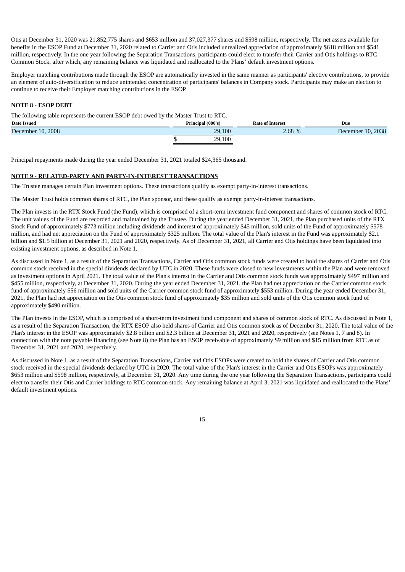Otis at December 31, 2020 was 21,852,775 shares and \$653 million and 37,027,377 shares and \$598 million, respectively. The net assets available for benefits in the ESOP Fund at December 31, 2020 related to Carrier and Otis included unrealized appreciation of approximately \$618 million and \$541 million, respectively. In the one year following the Separation Transactions, participants could elect to transfer their Carrier and Otis holdings to RTC Common Stock, after which, any remaining balance was liquidated and reallocated to the Plans' default investment options.

Employer matching contributions made through the ESOP are automatically invested in the same manner as participants' elective contributions, to provide an element of auto-diversification to reduce unintended concentration of participants' balances in Company stock. Participants may make an election to continue to receive their Employer matching contributions in the ESOP.

#### **NOTE 8 - ESOP DEBT**

The following table represents the current ESOP debt owed by the Master Trust to RTC.

| <b>Date Issued</b> | Principal (000's) | <b>Rate of Interest</b> | Due                  |
|--------------------|-------------------|-------------------------|----------------------|
| December 10, 2008  | 29,100            | 2.68 %                  | 2038<br>December 10. |
|                    | 29,100            |                         |                      |

Principal repayments made during the year ended December 31, 2021 totaled \$24,365 thousand.

#### **NOTE 9 - RELATED-PARTY AND PARTY-IN-INTEREST TRANSACTIONS**

The Trustee manages certain Plan investment options. These transactions qualify as exempt party-in-interest transactions.

The Master Trust holds common shares of RTC, the Plan sponsor, and these qualify as exempt party-in-interest transactions.

The Plan invests in the RTX Stock Fund (the Fund), which is comprised of a short-term investment fund component and shares of common stock of RTC. The unit values of the Fund are recorded and maintained by the Trustee. During the year ended December 31, 2021, the Plan purchased units of the RTX Stock Fund of approximately \$773 million including dividends and interest of approximately \$45 million, sold units of the Fund of approximately \$578 million, and had net appreciation on the Fund of approximately \$325 million. The total value of the Plan's interest in the Fund was approximately \$2.1 billion and \$1.5 billion at December 31, 2021 and 2020, respectively. As of December 31, 2021, all Carrier and Otis holdings have been liquidated into existing investment options, as described in Note 1.

As discussed in Note 1, as a result of the Separation Transactions, Carrier and Otis common stock funds were created to hold the shares of Carrier and Otis common stock received in the special dividends declared by UTC in 2020. These funds were closed to new investments within the Plan and were removed as investment options in April 2021. The total value of the Plan's interest in the Carrier and Otis common stock funds was approximately \$497 million and \$455 million, respectively, at December 31, 2020. During the year ended December 31, 2021, the Plan had net appreciation on the Carrier common stock fund of approximately \$56 million and sold units of the Carrier common stock fund of approximately \$553 million. During the year ended December 31, 2021, the Plan had net appreciation on the Otis common stock fund of approximately \$35 million and sold units of the Otis common stock fund of approximately \$490 million.

The Plan invests in the ESOP, which is comprised of a short-term investment fund component and shares of common stock of RTC. As discussed in Note 1, as a result of the Separation Transaction, the RTX ESOP also held shares of Carrier and Otis common stock as of December 31, 2020. The total value of the Plan's interest in the ESOP was approximately \$2.8 billion and \$2.3 billion at December 31, 2021 and 2020, respectively (see Notes 1, 7 and 8). In connection with the note payable financing (see Note 8) the Plan has an ESOP receivable of approximately \$9 million and \$15 million from RTC as of December 31, 2021 and 2020, respectively.

As discussed in Note 1, as a result of the Separation Transactions, Carrier and Otis ESOPs were created to hold the shares of Carrier and Otis common stock received in the special dividends declared by UTC in 2020. The total value of the Plan's interest in the Carrier and Otis ESOPs was approximately \$653 million and \$598 million, respectively, at December 31, 2020. Any time during the one year following the Separation Transactions, participants could elect to transfer their Otis and Carrier holdings to RTC common stock. Any remaining balance at April 3, 2021 was liquidated and reallocated to the Plans' default investment options.

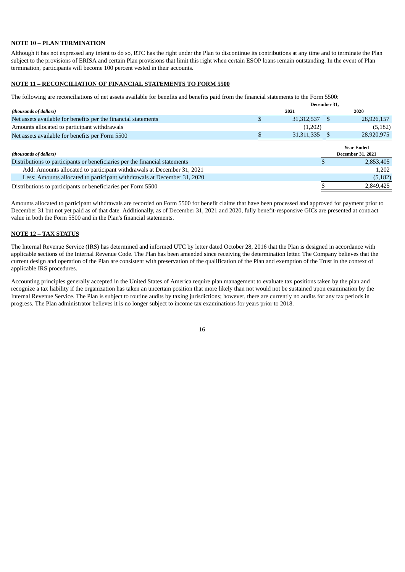#### **NOTE 10 – PLAN TERMINATION**

Although it has not expressed any intent to do so, RTC has the right under the Plan to discontinue its contributions at any time and to terminate the Plan subject to the provisions of ERISA and certain Plan provisions that limit this right when certain ESOP loans remain outstanding. In the event of Plan termination, participants will become 100 percent vested in their accounts.

#### **NOTE 11 – RECONCILIATION OF FINANCIAL STATEMENTS TO FORM 5500**

The following are reconciliations of net assets available for benefits and benefits paid from the financial statements to the Form 5500:

|                                                                             | December 31. |              |    |                                               |  |  |
|-----------------------------------------------------------------------------|--------------|--------------|----|-----------------------------------------------|--|--|
| (thousands of dollars)                                                      |              | 2021         |    | 2020                                          |  |  |
| Net assets available for benefits per the financial statements              |              | 31, 312, 537 | -S | 28,926,157                                    |  |  |
| Amounts allocated to participant withdrawals                                |              | (1,202)      |    | (5, 182)                                      |  |  |
| Net assets available for benefits per Form 5500                             |              | 31,311,335   |    | 28,920,975                                    |  |  |
| (thousands of dollars)                                                      |              |              |    | <b>Year Ended</b><br><b>December 31, 2021</b> |  |  |
| Distributions to participants or beneficiaries per the financial statements |              |              |    | 2,853,405                                     |  |  |
| Add: Amounts allocated to participant withdrawals at December 31, 2021      |              |              |    | 1,202                                         |  |  |
| Less: Amounts allocated to participant withdrawals at December 31, 2020     |              |              |    | (5, 182)                                      |  |  |
| Distributions to participants or beneficiaries per Form 5500                |              |              |    | 2,849,425                                     |  |  |

Amounts allocated to participant withdrawals are recorded on Form 5500 for benefit claims that have been processed and approved for payment prior to December 31 but not yet paid as of that date. Additionally, as of December 31, 2021 and 2020, fully benefit-responsive GICs are presented at contract value in both the Form 5500 and in the Plan's financial statements.

#### **NOTE 12 – TAX STATUS**

The Internal Revenue Service (IRS) has determined and informed UTC by letter dated October 28, 2016 that the Plan is designed in accordance with applicable sections of the Internal Revenue Code. The Plan has been amended since receiving the determination letter. The Company believes that the current design and operation of the Plan are consistent with preservation of the qualification of the Plan and exemption of the Trust in the context of applicable IRS procedures.

<span id="page-15-0"></span>Accounting principles generally accepted in the United States of America require plan management to evaluate tax positions taken by the plan and recognize a tax liability if the organization has taken an uncertain position that more likely than not would not be sustained upon examination by the Internal Revenue Service. The Plan is subject to routine audits by taxing jurisdictions; however, there are currently no audits for any tax periods in progress. The Plan administrator believes it is no longer subject to income tax examinations for years prior to 2018.

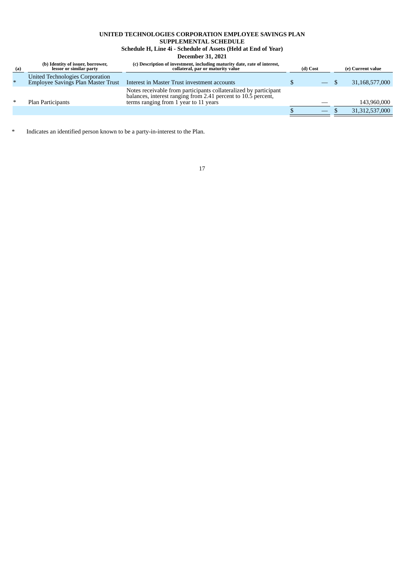### **UNITED TECHNOLOGIES CORPORATION EMPLOYEE SAVINGS PLAN**

## **SUPPLEMENTAL SCHEDULE**

#### **Schedule H, Line 4i - Schedule of Assets (Held at End of Year) December 31, 2021**

| (a) | (b) Identity of issuer, borrower,<br>lessor or similar party                 | (c) Description of investment, including maturity date, rate of interest,<br>collateral, par or maturity value                                                             | (d) Cost                 | (e) Current value |
|-----|------------------------------------------------------------------------------|----------------------------------------------------------------------------------------------------------------------------------------------------------------------------|--------------------------|-------------------|
| $*$ | United Technologies Corporation<br><b>Employee Savings Plan Master Trust</b> | Interest in Master Trust investment accounts                                                                                                                               | $\overline{\phantom{a}}$ | 31,168,577,000    |
| ∗   | <b>Plan Participants</b>                                                     | Notes receivable from participants collateralized by participant<br>balances, interest ranging from 2.41 percent to 10.5 percent,<br>terms ranging from 1 year to 11 years |                          | 143,960,000       |
|     |                                                                              |                                                                                                                                                                            | $\overline{\phantom{0}}$ | 31, 312, 537, 000 |

<span id="page-16-0"></span>\* Indicates an identified person known to be a party-in-interest to the Plan.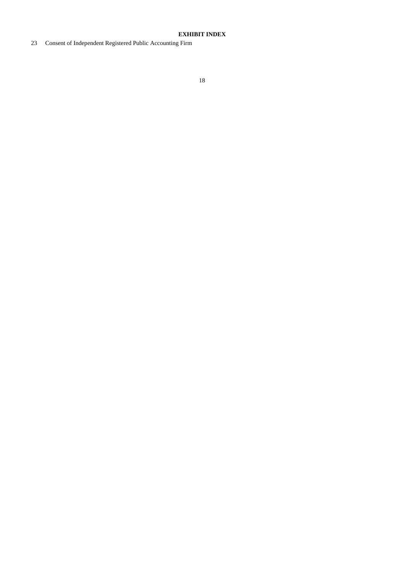### **EXHIBIT INDEX**

<span id="page-17-0"></span>Consent of Independent Registered Public Accounting Firm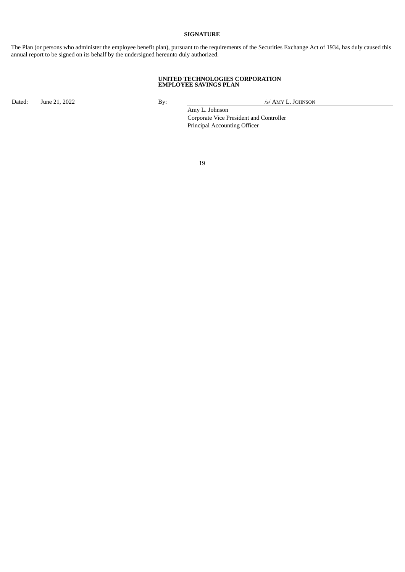#### **SIGNATURE**

The Plan (or persons who administer the employee benefit plan), pursuant to the requirements of the Securities Exchange Act of 1934, has duly caused this annual report to be signed on its behalf by the undersigned hereunto duly authorized.

#### **UNITED TECHNOLOGIES CORPORATION EMPLOYEE SAVINGS PLAN**

Dated: June 21, 2022 By: /s/ AMY L. JOHNSON

Amy L. Johnson Corporate Vice President and Controller Principal Accounting Officer